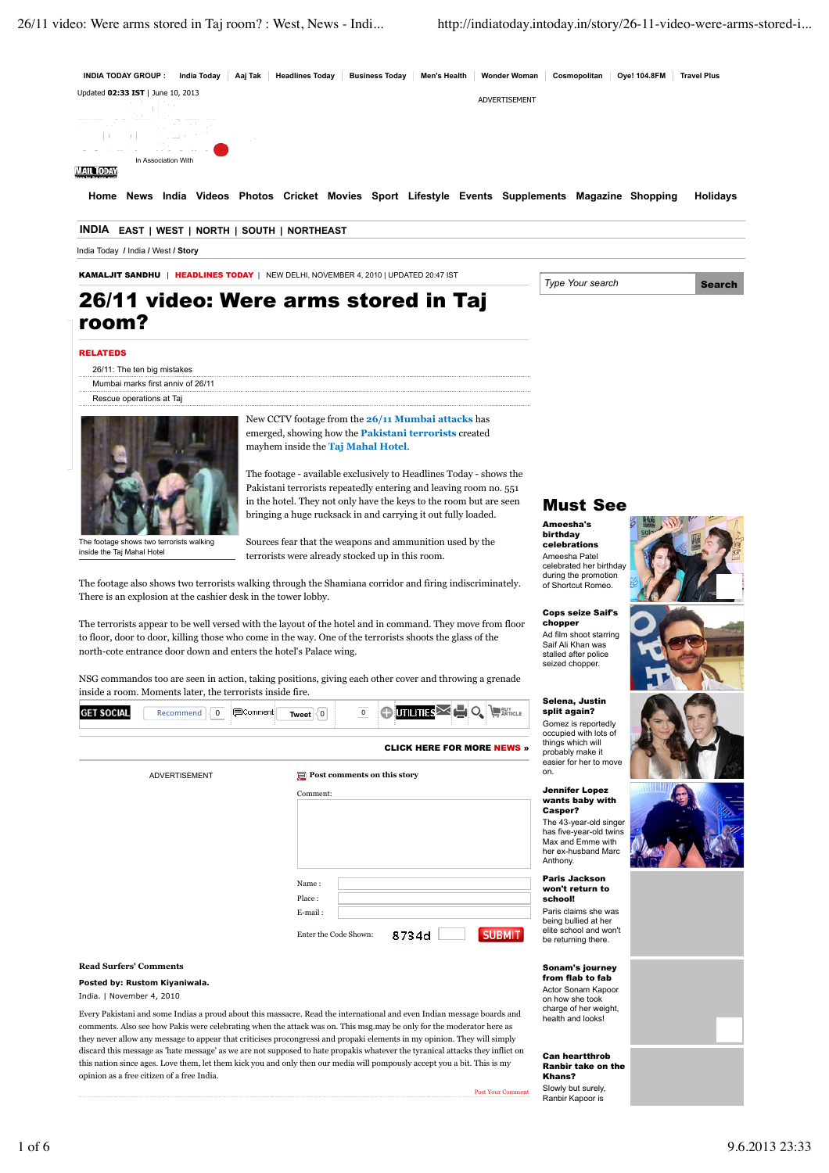

#### RELATEDS

- 26/11: The ten big mistakes
- Mumbai marks first anniv of 26/11
- Rescue operations at Taj



The footage shows two terrorists walking inside the Taj Mahal Hotel

ADVERTISEMENT **Post comments on this story**

New CCTV footage from the **26/11 Mumbai attacks** has emerged, showing how the **Pakistani terrorists** created mayhem inside the **Taj Mahal Hotel**.

The footage - available exclusively to Headlines Today - shows the Pakistani terrorists repeatedly entering and leaving room no. 551 in the hotel. They not only have the keys to the room but are seen bringing a huge rucksack in and carrying it out fully loaded.

Sources fear that the weapons and ammunition used by the terrorists were already stocked up in this room.

The footage also shows two terrorists walking through the Shamiana corridor and firing indiscriminately. There is an explosion at the cashier desk in the tower lobby.

The terrorists appear to be well versed with the layout of the hotel and in command. They move from floor to floor, door to door, killing those who come in the way. One of the terrorists shoots the glass of the north-cote entrance door down and enters the hotel's Palace wing.

NSG commandos too are seen in action, taking positions, giving each other cover and throwing a grenade inside a room. Moments later, the terrorists inside fire.



CLICK HERE FOR MORE NEWS »

| $\Box$ Post comments on this story        | on.                                                                                      |
|-------------------------------------------|------------------------------------------------------------------------------------------|
| Comment:                                  | Jennifer Lope:<br>wants baby w<br>Casper?                                                |
|                                           | The 43-year-old s<br>has five-year-old<br>Max and Emme v<br>her ex-husband N<br>Anthony. |
| Name:<br>Place:                           | <b>Paris Jackson</b><br>won't return to<br>school!                                       |
| E-mail:<br>Enter the Code Shown:<br>8734d | Paris claims she<br>being bullied at h<br>elite school and v<br><b>SUBMIT</b>            |

# **Read Surfers' Comments**

**Posted by: Rustom Kiyaniwala.**

India. | November 4, 2010

Every Pakistani and some Indias a proud about this massacre. Read the international and even Indian message boards and comments. Also see how Pakis were celebrating when the attack was on. This msg.may be only for the moderator here as they never allow any message to appear that criticises procongressi and propaki elements in my opinion. They will simply discard this message as 'hate message' as we are not supposed to hate propakis whatever the tyranical attacks they inflict on this nation since ages. Love them, let them kick you and only then our media will pompously accept you a bit. This is my opinion as a free citizen of a free India.

# Must See

Ameesha's birthday celebrations Ameesha Patel celebrated her birthday during the promotion of Shortcut Romeo.

Cops seize Saif's chopper Ad film shoot starring Saif Ali Khan was stalled after police seized chopper.

## Selena, Justin

split again? Gomez is reportedly occupied with lots of things which will probably make it easier for her to move on.

#### Jennifer Lopez ants baby with Casper? The 43-year-old singer

s five-year-old twins ax and Emme with ex-husband Marc **thony**.

#### on't return to school! *<u>aris</u>* claims she was ing bullied at her

te school and won't be returning there

## Sonam's journey from flab to fab

Actor Sonam Kapoor on how she took charge of her weight, health and looks!

#### Can heartthrob Ranbir take on the Khans? Slowly but surely,

Ranbir Kapoor is

Post Your Comment